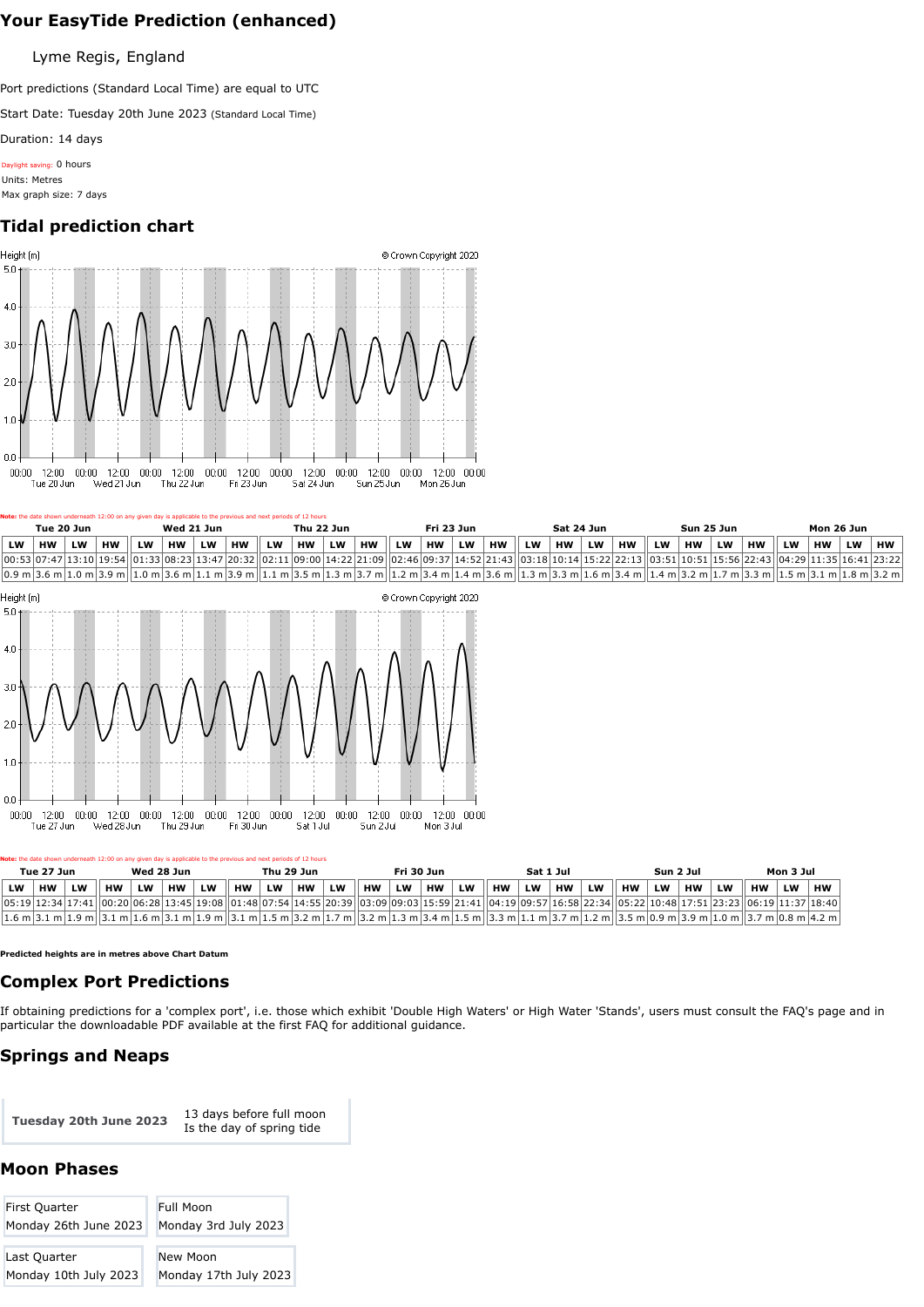|           | Tue 20 Jun |           |    |    | Wed 21 Jun |           |                                                                                                                                                                                                                                                                                                                                                                    |           | Thu 22 Jun |           |           |           | Fri 23 Jun |           |           |    | Sat 24 Jun |           |           |           | Sun 25 Jun |           |           |           | Mon 26 Jun |           |    |
|-----------|------------|-----------|----|----|------------|-----------|--------------------------------------------------------------------------------------------------------------------------------------------------------------------------------------------------------------------------------------------------------------------------------------------------------------------------------------------------------------------|-----------|------------|-----------|-----------|-----------|------------|-----------|-----------|----|------------|-----------|-----------|-----------|------------|-----------|-----------|-----------|------------|-----------|----|
| <b>LW</b> | <b>HW</b>  | <b>LW</b> | HW | LW | <b>HW</b>  | <b>LW</b> | <b>HW</b>                                                                                                                                                                                                                                                                                                                                                          | <b>LW</b> | <b>HW</b>  | <b>LW</b> | <b>HW</b> | <b>LW</b> | <b>HW</b>  | <b>LW</b> | <b>HW</b> | LW | <b>HW</b>  | <b>LW</b> | <b>HW</b> | <b>LW</b> | <b>HW</b>  | <b>LW</b> | <b>HW</b> | <b>LW</b> | <b>HW</b>  | <b>LW</b> | нw |
|           |            |           |    |    |            |           | 00:53 07:47 13:10 19:54  01:33 08:23 13:47 20:32  02:11 09:00 14:22 21:09  02:46 09:37 14:52 21:43  03:18 10:14 15:22 22:13  03:51 10:51 15:56 22:43  04:29 11:35 16:41 23:22                                                                                                                                                                                      |           |            |           |           |           |            |           |           |    |            |           |           |           |            |           |           |           |            |           |    |
|           |            |           |    |    |            |           | $(0.9 \text{ m}   3.6 \text{ m}   1.0 \text{ m}   3.9 \text{ m}   1.0 \text{ m}   3.6 \text{ m}   1.1 \text{ m}   3.9 \text{ m}   1.1 \text{ m}   3.5 \text{ m}   1.3 \text{ m}   3.7 \text{ m}   1.2 \text{ m}   3.4 \text{ m}   1.4 \text{ m}   3.6 \text{ m}   1.3 \text{ m}   3.3 \text{ m}   1.6 \text{ m}   3.4 \text{ m}   1.4 \text{ m}   3.2 \text{ m}  $ |           |            |           |           |           |            |           |           |    |            |           |           |           |            |           |           |           |            |           |    |



If obtaining predictions for a 'complex port', i.e. those which exhibit 'Double High Waters' or High Water 'Stands', users must consult the [FAQ's page](https://www.ukho.gov.uk/Easytide/easytide/Support/faq.aspx) and in particular the downloadable [PDF](http://www.admiralty.co.uk/AdmiraltyDownloadMedia/easytide/Double%20high%20waters%20and%20high%20water%20stands.pdf) available at the first FAQ for additional guidance.

| First Quarter         | <b>Full Moon</b>      |
|-----------------------|-----------------------|
| Monday 26th June 2023 | Monday 3rd July 2023  |
|                       |                       |
| Last Quarter          | New Moon              |
| Monday 10th July 2023 | Monday 17th July 2023 |

|    | Tue 27 Jun |           |           | Wed 28 Jun |           |           | Note: the date shown underneath 12:00 on any given day is applicable to the previous and next periods of 12 hours                                                 | Thu 29 Jun |           |           |           | Fri 30 Jun |           |    |           | Sat 1 Jul |           |           |           | Sun 2 Jul |           |    | Mon 3 Jul |           |           |  |
|----|------------|-----------|-----------|------------|-----------|-----------|-------------------------------------------------------------------------------------------------------------------------------------------------------------------|------------|-----------|-----------|-----------|------------|-----------|----|-----------|-----------|-----------|-----------|-----------|-----------|-----------|----|-----------|-----------|-----------|--|
| LW | <b>HW</b>  | <b>LW</b> | <b>HW</b> | <b>LW</b>  | <b>HW</b> | <b>LW</b> | <b>HW</b>                                                                                                                                                         | <b>LW</b>  | <b>HW</b> | <b>LW</b> | <b>HW</b> | <b>LW</b>  | <b>HW</b> | LW | <b>HW</b> | LW        | <b>HW</b> | <b>LW</b> | <b>HW</b> | LW        | <b>HW</b> | LW | <b>HW</b> | <b>LW</b> | <b>HW</b> |  |
|    |            |           |           |            |           |           | 06:19 12:34 17:41  00:20 06:28 13:45 19:08  01:48 07:54 14:55 20:39  03:09 09:03 15:59 21:41  04:19 09:57 16:58 22:34  05:22 10:48 17:51 23:23  06:19 11:37 18:40 |            |           |           |           |            |           |    |           |           |           |           |           |           |           |    |           |           |           |  |
|    |            |           |           |            |           |           | 1.6 m 3.1 m 1.9 m  3.1 m 1.6 m 3.1 m 1.9 m  3.1 m 1.5 m 3.2 m 1.7 m  3.2 m 1.3 m 3.4 m 1.5 m  3.3 m 1.1 m 3.7 m 1.2 m  3.5 m 0.9 m 3.9 m 1.0 m  3.7 m 0.8 m 4.2 m |            |           |           |           |            |           |    |           |           |           |           |           |           |           |    |           |           |           |  |

# **Your EasyTide Prediction (enhanced)**

Lyme Regis, England

Port predictions (Standard Local Time) are equal to UTC

Start Date: Tuesday 20th June 2023 (Standard Local Time)

Duration: 14 days

Daylight saving: 0 hours Units: Metres Max graph size: 7 days

# **Tidal prediction chart**



**Predicted heights are in metres above Chart Datum**

#### **Complex Port Predictions**

# **Springs and Neaps**

**Tuesday 20th June 2023** 13 days before full moon Is the day of spring tide

### **Moon Phases**